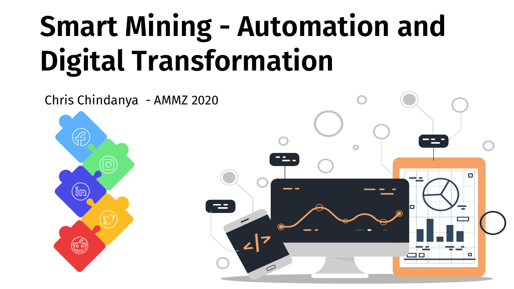# Smart Mining - Automation and Digital Transformation

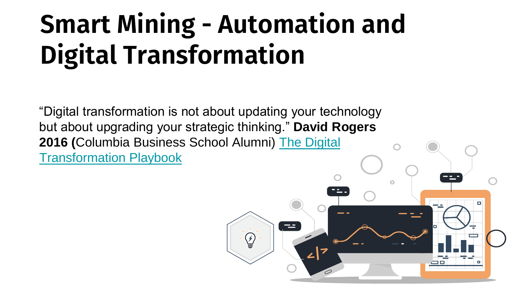# Smart Mining - Automation and Digital Transformation

"Digital transformation is not about updating your technology but about upgrading your strategic thinking." **David Rogers 2016 (**[Columbia Business School Alumni\)](http://www.amazon.com/dp/0231175442) The Digital Transformation Playbook

 $\equiv$ 

 $\mathcal G$ 

 $\Box$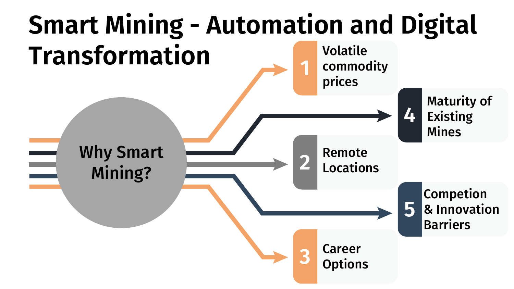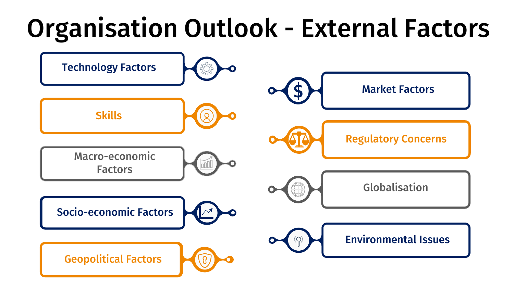# Organisation Outlook - External Factors

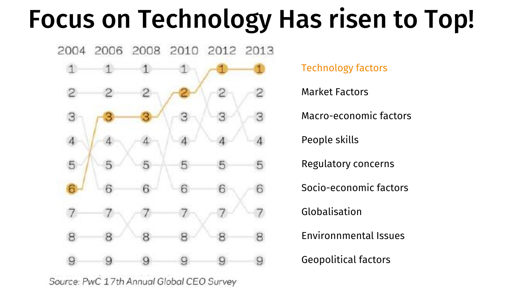## Focus on Technology Has risen to Top!



Source: PwC 17th Annual Global CEO Survey

Technology factors

Market Factors

Macro-economic factors

People skills

Regulatory concerns

Socio-economic factors

Globalisation

Environnmental Issues

Geopolitical factors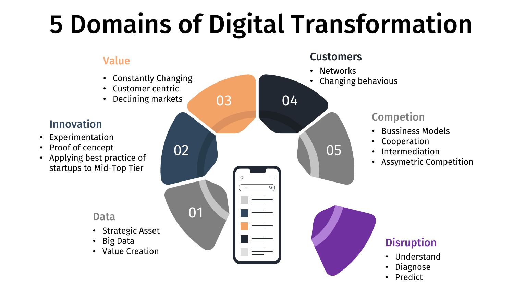# 5 Domains of Digital Transformation

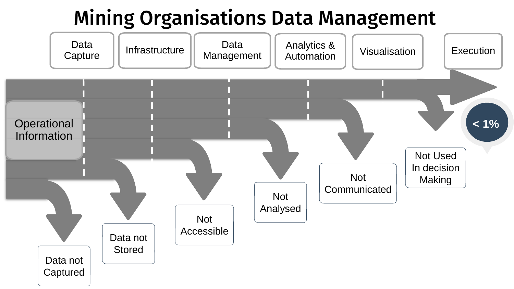## Mining Organisations Data Management

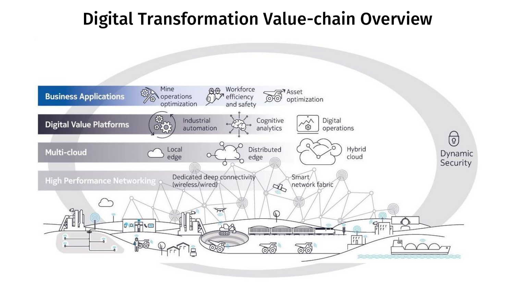### Digital Transformation Value-chain Overview

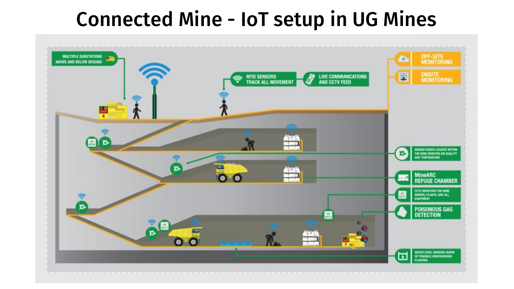### Connected Mine - IoT setup in UG Mines

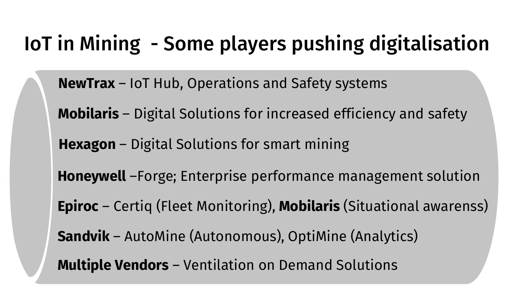## IoT in Mining - Some players pushing digitalisation

**NewTrax** – IoT Hub, Operations and Safety systems

**Mobilaris** – Digital Solutions for increased efficiency and safety

**Hexagon** – Digital Solutions for smart mining

**Honeywell** –Forge; Enterprise performance management solution

**Epiroc** – Certiq (Fleet Monitoring), **Mobilaris** (Situational awarenss)

**Sandvik** – AutoMine (Autonomous), OptiMine (Analytics)

**Multiple Vendors** – Ventilation on Demand Solutions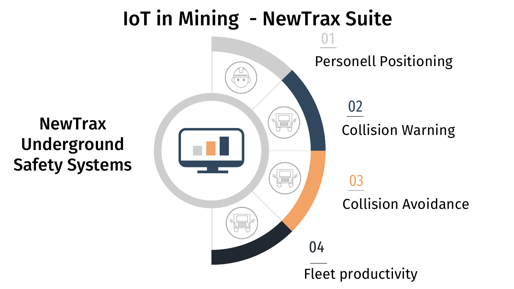## IoT in Mining - NewTrax Suite

**NewTrax** Underground Safety Systems

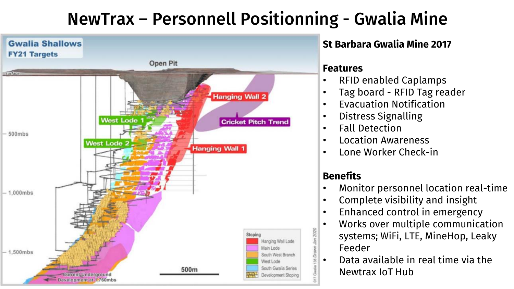### NewTrax – Personnell Positionning - Gwalia Mine



#### **St Barbara Gwalia Mine 2017**

#### **Features**

- RFID enabled Caplamps
- Tag board RFID Tag reader
- Evacuation Notification
- Distress Signalling
- Fall Detection
- Location Awareness
- Lone Worker Check-in

#### **Benefits**

- Monitor personnel location real-time
- Complete visibility and insight
- Enhanced control in emergency
- Works over multiple communication systems; WiFi, LTE, MineHop, Leaky Feeder
- Data available in real time via the Newtrax IoT Hub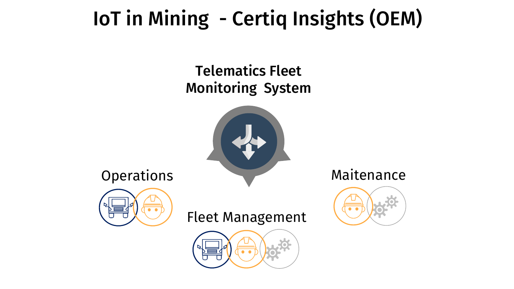## IoT in Mining - Certiq Insights (OEM)

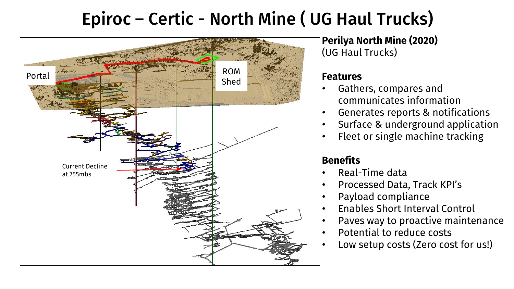### Epiroc – Certic - North Mine ( UG Haul Trucks)



**Perilya North Mine (2020)** (UG Haul Trucks)

#### **Features**

- Gathers, compares and communicates information
- Generates reports & notifications
- Surface & underground application
- Fleet or single machine tracking

#### **Benefits**

- Real-Time data
- Processed Data, Track KPI's
- Payload compliance
- Enables Short Interval Control
- Paves way to proactive maintenance
- Potential to reduce costs
- Low setup costs (Zero cost for us!)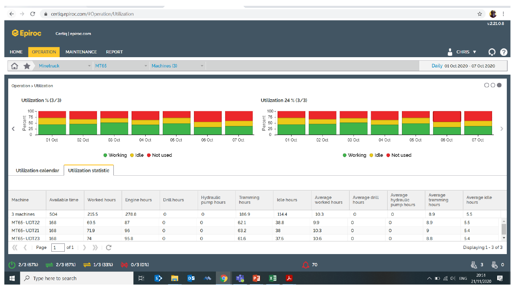| ● certiq.epiroc.com/#Operation/Utilization<br>C<br>$\leftarrow$<br>$\rightarrow$                                                                                                                              |                                                                                              |                                |                     |                    |                         |                      |                                                                             |                         |                        |                                     |                                 | ☆                     | È.<br>$\vdots$       |  |
|---------------------------------------------------------------------------------------------------------------------------------------------------------------------------------------------------------------|----------------------------------------------------------------------------------------------|--------------------------------|---------------------|--------------------|-------------------------|----------------------|-----------------------------------------------------------------------------|-------------------------|------------------------|-------------------------------------|---------------------------------|-----------------------|----------------------|--|
| v.2.21.0.8<br><b>C</b> Epiroc<br>Certiq   epiroc.com                                                                                                                                                          |                                                                                              |                                |                     |                    |                         |                      |                                                                             |                         |                        |                                     |                                 |                       |                      |  |
| <b>HOME</b>                                                                                                                                                                                                   | Α<br><u>ှ စ</u><br>CHRIS <b>v</b><br><b>MAINTENANCE</b><br><b>OPERATION</b><br><b>REPORT</b> |                                |                     |                    |                         |                      |                                                                             |                         |                        |                                     |                                 |                       |                      |  |
| Minetruck<br>$~<$ MT65<br>♤<br>$\blacktriangledown$ Machines (3)<br>$\overline{\phantom{a}}$<br>₩                                                                                                             |                                                                                              |                                |                     |                    |                         |                      |                                                                             |                         |                        |                                     | Daily 01 Oct 2020 - 07 Oct 2020 |                       |                      |  |
| $\circ \circ \bullet$<br><b>Operation &gt; Utilization</b>                                                                                                                                                    |                                                                                              |                                |                     |                    |                         |                      |                                                                             |                         |                        |                                     |                                 |                       |                      |  |
|                                                                                                                                                                                                               | Utilization % (3/3)<br>Utilization 24 % (3/3)                                                |                                |                     |                    |                         |                      |                                                                             |                         |                        |                                     |                                 |                       |                      |  |
| $100 -$<br>$\begin{array}{c} 75 \\ 6 \\ 6 \\ 25 \end{array}$<br>≺                                                                                                                                             |                                                                                              |                                |                     |                    |                         |                      | $100 -$<br>$\begin{array}{c} 75 \\ 60 \\ 50 \\ \hline 6 \\ 25 \end{array}.$ |                         |                        |                                     |                                 |                       | $\rightarrow$        |  |
| $\mathbf 0$                                                                                                                                                                                                   | 02 Oct<br>01 Oct                                                                             | 03 Oct                         | 04 Oct              | 05 Oct             | 06 Oct                  | 07 Oct               | $\mathbf 0$<br>01 Oct                                                       | 02 Oct                  | 04 Oct<br>03 Oct       | 05 Oct                              | 06 Oct                          | 07 Oct                |                      |  |
| ● Working ● Idle ● Not used<br>● Working ● Idle ● Not used<br><b>Utilization statistic</b><br><b>Utilization calendar</b>                                                                                     |                                                                                              |                                |                     |                    |                         |                      |                                                                             |                         |                        |                                     |                                 |                       |                      |  |
| Machine                                                                                                                                                                                                       | <b>Available time</b>                                                                        | <b>Worked hours</b>            | <b>Engine hours</b> | <b>Drill hours</b> | Hydraulic<br>pump hours | Tramming<br>hours    | <b>Idle hours</b>                                                           | Average<br>worked hours | Average drill<br>hours | Average<br>hydraulic<br>pump hours  | Average<br>tramming<br>hours    | Average idle<br>hours |                      |  |
| 3 machines                                                                                                                                                                                                    | 504                                                                                          | 215.5                          | 278.8               | $\mathsf{o}$       | $\mathsf{o}$            | 186.9                | 114.4                                                                       | 10.3                    | $\circ$                | $\mathsf{o}$                        | 8.9                             | 5.5                   |                      |  |
| <b>MT65-UDT22</b>                                                                                                                                                                                             | 168                                                                                          | 69.5                           | 87                  | $\mathsf{o}$       | $\mathsf{o}$            | 62.1                 | 38.8                                                                        | 9.9                     | $\mathsf{o}$           | $\mathsf{o}$                        | 8.9                             | 5.5                   |                      |  |
| <b>MT65-UDT21</b>                                                                                                                                                                                             | 168                                                                                          | 71.9                           | 96                  | $\mathsf{o}$       | $\circ$                 | 63.2                 | 38                                                                          | 10.3                    | $\circ$                | $\circ$                             | 9                               | 5.4                   |                      |  |
| <b>MT65-UDT23</b>                                                                                                                                                                                             | 168                                                                                          | 74                             | 95.8                | $\mathsf{o}$       | $\mathsf{o}$            | 61.6                 | 37.6                                                                        | 10.6                    | $\mathsf{o}$           | $\circ$                             | 8.8                             | 5.4                   | $\blacktriangledown$ |  |
| $\rangle$<br>C<br>〈〈 〈<br>Page<br>$\mathbf{1}$<br>of 1<br>У.                                                                                                                                                  |                                                                                              |                                |                     |                    |                         |                      |                                                                             |                         |                        |                                     |                                 | Displaying 1 - 3 of 3 |                      |  |
| 2/3 (67%)                                                                                                                                                                                                     | 2/3(67%)                                                                                     | $\rightleftharpoons$ 1/3 (33%) | 0/3(0%)             |                    |                         | $\mathbf{\Omega}$ 70 |                                                                             |                         |                        | 6<br>ь о<br>$\overline{\mathbf{3}}$ |                                 |                       |                      |  |
| 20:51<br>$x \equiv$<br><b>目</b><br>$\vert s \rangle$<br>$\circ$ z<br>$\blacksquare$<br>$\rho$ Type here to search<br>PE<br>$\mathbf{r}$<br>$\wedge$ $\Box$ $\mathcal{C}$ $\Phi$ $\Box$ ENG<br>-<br>21/11/2020 |                                                                                              |                                |                     |                    |                         |                      |                                                                             |                         |                        |                                     |                                 | 局                     |                      |  |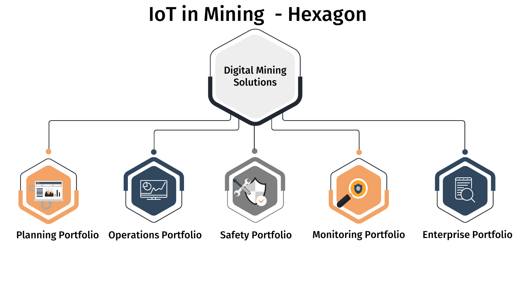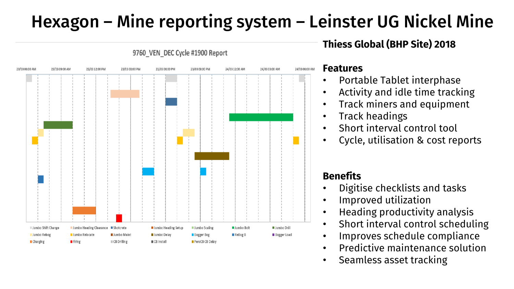### Hexagon – Mine reporting system – Leinster UG Nickel Mine



9760 VEN DEC Cycle #1900 Report

#### **Features**

• Portable Tablet interphase

**Thiess Global (BHP Site) 2018**

- Activity and idle time tracking
- Track miners and equipment
- Track headings
- Short interval control tool
- Cycle, utilisation & cost reports

#### **Benefits**

- Digitise checklists and tasks
- Improved utilization
- Heading productivity analysis
- Short interval control scheduling
- Improves schedule compliance
- Predictive maintenance solution
- Seamless asset tracking